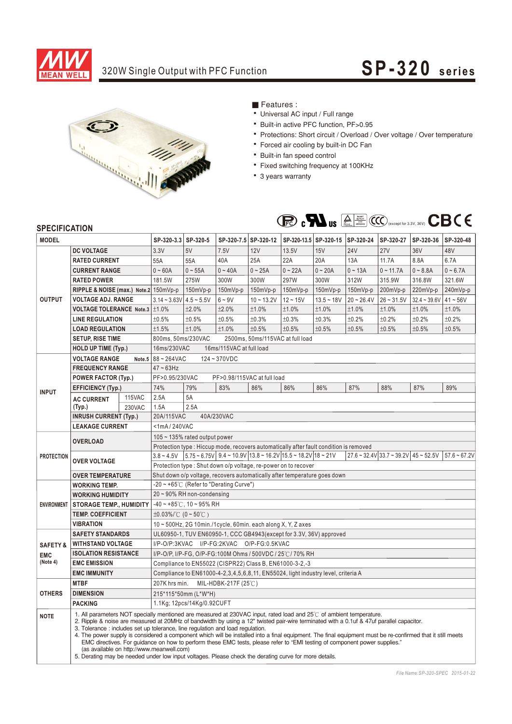

## 320W Single Output with PFC Function **SP-320** series



Features :

- Universal AC input / Full range
- Built-in active PFC function, PF>0.95
- Protections: Short circuit / Overload / Over voltage / Over temperature
- Forced air cooling by built-in DC Fan
- Built-in fan speed control
- Fixed switching frequency at 100KHz
- 3 years warranty



## **SPECIFICATION**

| <b>MODEL</b>               |                                                                                                                                                                                                                                                                                                                                                                                                                                                                                                                                                                                                                                                                                                                                                                                                    | SP-320-3.3 SP-320-5                                |                                                                                                                                                                                                                                                                                                   |                                                            | SP-320-7.5 SP-320-12        |              | SP-320-13.5 SP-320-15 SP-320-24 |              | SP-320-27    | SP-320-36    | SP-320-48      |            |  |
|----------------------------|----------------------------------------------------------------------------------------------------------------------------------------------------------------------------------------------------------------------------------------------------------------------------------------------------------------------------------------------------------------------------------------------------------------------------------------------------------------------------------------------------------------------------------------------------------------------------------------------------------------------------------------------------------------------------------------------------------------------------------------------------------------------------------------------------|----------------------------------------------------|---------------------------------------------------------------------------------------------------------------------------------------------------------------------------------------------------------------------------------------------------------------------------------------------------|------------------------------------------------------------|-----------------------------|--------------|---------------------------------|--------------|--------------|--------------|----------------|------------|--|
|                            | <b>DC VOLTAGE</b>                                                                                                                                                                                                                                                                                                                                                                                                                                                                                                                                                                                                                                                                                                                                                                                  |                                                    | 3.3V                                                                                                                                                                                                                                                                                              | 5V                                                         | 7.5V                        | <b>12V</b>   | 13.5V                           | <b>15V</b>   | <b>24V</b>   | <b>27V</b>   | 36V            | 48V        |  |
| <b>OUTPUT</b>              | <b>RATED CURRENT</b>                                                                                                                                                                                                                                                                                                                                                                                                                                                                                                                                                                                                                                                                                                                                                                               |                                                    | 55A                                                                                                                                                                                                                                                                                               | 55A                                                        | 40A                         | 25A          | 22A                             | 20A          | 13A          | 11.7A        | 8.8A           | 6.7A       |  |
|                            | <b>CURRENT RANGE</b>                                                                                                                                                                                                                                                                                                                                                                                                                                                                                                                                                                                                                                                                                                                                                                               |                                                    | $0 - 60A$                                                                                                                                                                                                                                                                                         | $0 - 55A$                                                  | $0 - 40A$                   | $0 - 25A$    | $0 - 22A$                       | $0 - 20A$    | $0 - 13A$    | $0 - 11.7A$  | $0 - 8.8A$     | $0 - 6.7A$ |  |
|                            | <b>RATED POWER</b>                                                                                                                                                                                                                                                                                                                                                                                                                                                                                                                                                                                                                                                                                                                                                                                 |                                                    | 181.5W                                                                                                                                                                                                                                                                                            | 275W                                                       | 300W                        | 300W         | 297W                            | 300W         | 312W         | 315.9W       | 316.8W         | 321.6W     |  |
|                            | RIPPLE & NOISE (max.) Note.2 150mVp-p                                                                                                                                                                                                                                                                                                                                                                                                                                                                                                                                                                                                                                                                                                                                                              |                                                    |                                                                                                                                                                                                                                                                                                   | 150mVp-p                                                   | 150mVp-p                    | 150mVp-p     | 150mVp-p                        | 150mVp-p     | 150mVp-p     | 200mVp-p     | 220mVp-p       | 240mVp-p   |  |
|                            | <b>VOLTAGE ADJ. RANGE</b>                                                                                                                                                                                                                                                                                                                                                                                                                                                                                                                                                                                                                                                                                                                                                                          |                                                    | $3.14 - 3.63V$ 4.5 ~ 5.5V                                                                                                                                                                                                                                                                         |                                                            | $6 - 9V$                    | $10 - 13.2V$ | $12 - 15V$                      | $13.5 - 18V$ | $20 - 26.4V$ | $26 - 31.5V$ | $32.4 - 39.6V$ | $41 - 56V$ |  |
|                            | <b>VOLTAGE TOLERANCE Note.3</b>                                                                                                                                                                                                                                                                                                                                                                                                                                                                                                                                                                                                                                                                                                                                                                    |                                                    | $\pm 1.0\%$                                                                                                                                                                                                                                                                                       | ±2.0%                                                      | ±2.0%                       | ±1.0%        | ±1.0%                           | ±1.0%        | ±1.0%        | ±1.0%        | ±1.0%          | ±1.0%      |  |
|                            | <b>LINE REGULATION</b>                                                                                                                                                                                                                                                                                                                                                                                                                                                                                                                                                                                                                                                                                                                                                                             |                                                    | ±0.5%                                                                                                                                                                                                                                                                                             | ±0.5%                                                      | ±0.5%                       | ±0.3%        | ±0.3%                           | ±0.3%        | ±0.2%        | ±0.2%        | ±0.2%          | ±0.2%      |  |
|                            | <b>LOAD REGULATION</b>                                                                                                                                                                                                                                                                                                                                                                                                                                                                                                                                                                                                                                                                                                                                                                             |                                                    | ±1.5%                                                                                                                                                                                                                                                                                             | ±1.0%                                                      | ±1.0%                       | ±0.5%        | ±0.5%                           | ±0.5%        | ±0.5%        | ±0.5%        | ±0.5%          | ±0.5%      |  |
|                            | <b>SETUP, RISE TIME</b>                                                                                                                                                                                                                                                                                                                                                                                                                                                                                                                                                                                                                                                                                                                                                                            |                                                    | 800ms, 50ms/230VAC<br>2500ms, 50ms/115VAC at full load                                                                                                                                                                                                                                            |                                                            |                             |              |                                 |              |              |              |                |            |  |
| <b>HOLD UP TIME (Typ.)</b> |                                                                                                                                                                                                                                                                                                                                                                                                                                                                                                                                                                                                                                                                                                                                                                                                    | 16ms/230VAC<br>16ms/115VAC at full load            |                                                                                                                                                                                                                                                                                                   |                                                            |                             |              |                                 |              |              |              |                |            |  |
| <b>VOLTAGE RANGE</b>       |                                                                                                                                                                                                                                                                                                                                                                                                                                                                                                                                                                                                                                                                                                                                                                                                    | Note.5 $88 - 264$ VAC<br>$124 - 370VDC$            |                                                                                                                                                                                                                                                                                                   |                                                            |                             |              |                                 |              |              |              |                |            |  |
|                            | <b>FREQUENCY RANGE</b>                                                                                                                                                                                                                                                                                                                                                                                                                                                                                                                                                                                                                                                                                                                                                                             |                                                    | $47 - 63$ Hz                                                                                                                                                                                                                                                                                      |                                                            |                             |              |                                 |              |              |              |                |            |  |
|                            | <b>POWER FACTOR (Typ.)</b>                                                                                                                                                                                                                                                                                                                                                                                                                                                                                                                                                                                                                                                                                                                                                                         |                                                    | PF>0.95/230VAC                                                                                                                                                                                                                                                                                    |                                                            | PF>0.98/115VAC at full load |              |                                 |              |              |              |                |            |  |
| <b>INPUT</b>               | <b>EFFICIENCY (Typ.)</b>                                                                                                                                                                                                                                                                                                                                                                                                                                                                                                                                                                                                                                                                                                                                                                           |                                                    | 74%                                                                                                                                                                                                                                                                                               | 79%                                                        | 83%                         | 86%          | 86%                             | 86%          | 87%          | 88%          | 87%            | 89%        |  |
|                            | <b>AC CURRENT</b>                                                                                                                                                                                                                                                                                                                                                                                                                                                                                                                                                                                                                                                                                                                                                                                  | 115VAC                                             | 2.5A                                                                                                                                                                                                                                                                                              | 5A                                                         |                             |              |                                 |              |              |              |                |            |  |
|                            | (Typ.)                                                                                                                                                                                                                                                                                                                                                                                                                                                                                                                                                                                                                                                                                                                                                                                             | 230VAC                                             | 1.5A                                                                                                                                                                                                                                                                                              | 2.5A                                                       |                             |              |                                 |              |              |              |                |            |  |
|                            | <b>INRUSH CURRENT (Typ.)</b>                                                                                                                                                                                                                                                                                                                                                                                                                                                                                                                                                                                                                                                                                                                                                                       |                                                    | 20A/115VAC<br>40A/230VAC                                                                                                                                                                                                                                                                          |                                                            |                             |              |                                 |              |              |              |                |            |  |
|                            | <b>LEAKAGE CURRENT</b>                                                                                                                                                                                                                                                                                                                                                                                                                                                                                                                                                                                                                                                                                                                                                                             |                                                    | <1mA/240VAC                                                                                                                                                                                                                                                                                       |                                                            |                             |              |                                 |              |              |              |                |            |  |
| <b>PROTECTION</b>          | <b>OVERLOAD</b><br><b>OVER VOLTAGE</b>                                                                                                                                                                                                                                                                                                                                                                                                                                                                                                                                                                                                                                                                                                                                                             |                                                    | 105 ~ 135% rated output power                                                                                                                                                                                                                                                                     |                                                            |                             |              |                                 |              |              |              |                |            |  |
|                            |                                                                                                                                                                                                                                                                                                                                                                                                                                                                                                                                                                                                                                                                                                                                                                                                    |                                                    | Protection type : Hiccup mode, recovers automatically after fault condition is removed<br>$3.8 \sim 4.5V$   $5.75 \sim 6.75V$   $9.4 \sim 10.9V$   13.8 ~ 16.2V  15.5 ~ 18.2V  18 ~ 21V<br>$27.6 \approx 32.4 \text{V}$ 33.7 $\approx 39.2 \text{V}$ 45 $\approx 52.5 \text{V}$<br>$57.6 - 67.2V$ |                                                            |                             |              |                                 |              |              |              |                |            |  |
|                            |                                                                                                                                                                                                                                                                                                                                                                                                                                                                                                                                                                                                                                                                                                                                                                                                    |                                                    | Protection type: Shut down o/p voltage, re-power on to recover                                                                                                                                                                                                                                    |                                                            |                             |              |                                 |              |              |              |                |            |  |
|                            | <b>OVER TEMPERATURE</b>                                                                                                                                                                                                                                                                                                                                                                                                                                                                                                                                                                                                                                                                                                                                                                            |                                                    | Shut down o/p voltage, recovers automatically after temperature goes down                                                                                                                                                                                                                         |                                                            |                             |              |                                 |              |              |              |                |            |  |
| <b>WORKING TEMP.</b>       |                                                                                                                                                                                                                                                                                                                                                                                                                                                                                                                                                                                                                                                                                                                                                                                                    | $-20 \sim +65^{\circ}$ (Refer to "Derating Curve") |                                                                                                                                                                                                                                                                                                   |                                                            |                             |              |                                 |              |              |              |                |            |  |
|                            | <b>WORKING HUMIDITY</b>                                                                                                                                                                                                                                                                                                                                                                                                                                                                                                                                                                                                                                                                                                                                                                            |                                                    | $20 \sim 90\%$ RH non-condensing                                                                                                                                                                                                                                                                  |                                                            |                             |              |                                 |              |              |              |                |            |  |
| <b>ENVIRONMENT</b>         | <b>STORAGE TEMP., HUMIDITY</b>                                                                                                                                                                                                                                                                                                                                                                                                                                                                                                                                                                                                                                                                                                                                                                     |                                                    | $-40 \sim +85^{\circ}$ C, 10 ~ 95% RH                                                                                                                                                                                                                                                             |                                                            |                             |              |                                 |              |              |              |                |            |  |
|                            | <b>TEMP. COEFFICIENT</b>                                                                                                                                                                                                                                                                                                                                                                                                                                                                                                                                                                                                                                                                                                                                                                           |                                                    | $\pm 0.03\%$ / °C (0 ~ 50 °C)                                                                                                                                                                                                                                                                     |                                                            |                             |              |                                 |              |              |              |                |            |  |
|                            | <b>VIBRATION</b>                                                                                                                                                                                                                                                                                                                                                                                                                                                                                                                                                                                                                                                                                                                                                                                   |                                                    | 10 ~ 500Hz, 2G 10min./1cycle, 60min. each along X, Y, Z axes                                                                                                                                                                                                                                      |                                                            |                             |              |                                 |              |              |              |                |            |  |
|                            | <b>SAFETY STANDARDS</b>                                                                                                                                                                                                                                                                                                                                                                                                                                                                                                                                                                                                                                                                                                                                                                            |                                                    | UL60950-1, TUV EN60950-1, CCC GB4943(except for 3.3V, 36V) approved                                                                                                                                                                                                                               |                                                            |                             |              |                                 |              |              |              |                |            |  |
| <b>SAFETY &amp;</b>        | <b>WITHSTAND VOLTAGE</b>                                                                                                                                                                                                                                                                                                                                                                                                                                                                                                                                                                                                                                                                                                                                                                           |                                                    | I/P-O/P:3KVAC I/P-FG:2KVAC O/P-FG:0.5KVAC                                                                                                                                                                                                                                                         |                                                            |                             |              |                                 |              |              |              |                |            |  |
| <b>EMC</b>                 |                                                                                                                                                                                                                                                                                                                                                                                                                                                                                                                                                                                                                                                                                                                                                                                                    | <b>ISOLATION RESISTANCE</b>                        |                                                                                                                                                                                                                                                                                                   | I/P-O/P, I/P-FG, O/P-FG:100M Ohms / 500VDC / 25°C / 70% RH |                             |              |                                 |              |              |              |                |            |  |
| (Note 4)                   | <b>EMC EMISSION</b>                                                                                                                                                                                                                                                                                                                                                                                                                                                                                                                                                                                                                                                                                                                                                                                |                                                    | Compliance to EN55022 (CISPR22) Class B, EN61000-3-2,-3                                                                                                                                                                                                                                           |                                                            |                             |              |                                 |              |              |              |                |            |  |
|                            | <b>EMC IMMUNITY</b>                                                                                                                                                                                                                                                                                                                                                                                                                                                                                                                                                                                                                                                                                                                                                                                |                                                    | Compliance to EN61000-4-2, 3, 4, 5, 6, 8, 11, EN55024, light industry level, criteria A                                                                                                                                                                                                           |                                                            |                             |              |                                 |              |              |              |                |            |  |
| <b>OTHERS</b>              | <b>MTBF</b>                                                                                                                                                                                                                                                                                                                                                                                                                                                                                                                                                                                                                                                                                                                                                                                        |                                                    | 207K hrs min.<br>MIL-HDBK-217F (25℃)                                                                                                                                                                                                                                                              |                                                            |                             |              |                                 |              |              |              |                |            |  |
|                            | <b>DIMENSION</b>                                                                                                                                                                                                                                                                                                                                                                                                                                                                                                                                                                                                                                                                                                                                                                                   |                                                    | 215*115*50mm (L*W*H)                                                                                                                                                                                                                                                                              |                                                            |                             |              |                                 |              |              |              |                |            |  |
|                            | <b>PACKING</b>                                                                                                                                                                                                                                                                                                                                                                                                                                                                                                                                                                                                                                                                                                                                                                                     |                                                    | 1.1Kg; 12pcs/14Kg/0.92CUFT                                                                                                                                                                                                                                                                        |                                                            |                             |              |                                 |              |              |              |                |            |  |
| <b>NOTE</b>                | 1. All parameters NOT specially mentioned are measured at 230VAC input, rated load and 25°C of ambient temperature.<br>2. Ripple & noise are measured at 20MHz of bandwidth by using a 12" twisted pair-wire terminated with a 0.1uf & 47uf parallel capacitor.<br>3. Tolerance: includes set up tolerance, line regulation and load regulation.<br>4. The power supply is considered a component which will be installed into a final equipment. The final equipment must be re-confirmed that it still meets<br>EMC directives. For guidance on how to perform these EMC tests, please refer to "EMI testing of component power supplies."<br>(as available on http://www.meanwell.com)<br>5. Derating may be needed under low input voltages. Please check the derating curve for more details. |                                                    |                                                                                                                                                                                                                                                                                                   |                                                            |                             |              |                                 |              |              |              |                |            |  |